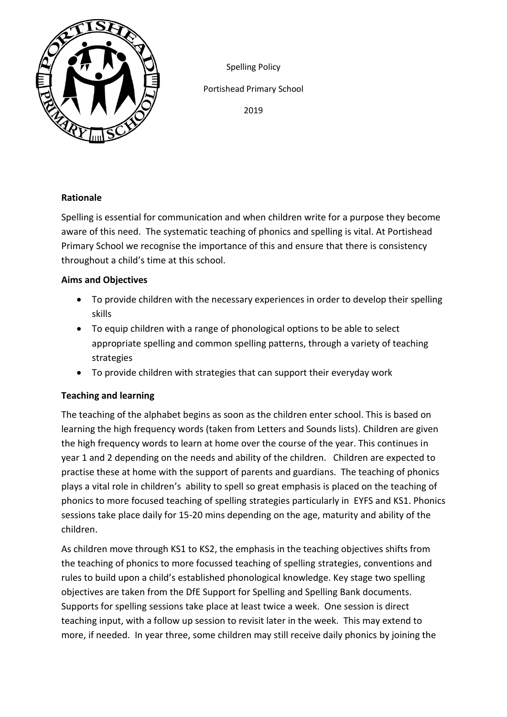

Spelling Policy

Portishead Primary School

2019

# **Rationale**

Spelling is essential for communication and when children write for a purpose they become aware of this need. The systematic teaching of phonics and spelling is vital. At Portishead Primary School we recognise the importance of this and ensure that there is consistency throughout a child's time at this school.

# **Aims and Objectives**

- To provide children with the necessary experiences in order to develop their spelling skills
- To equip children with a range of phonological options to be able to select appropriate spelling and common spelling patterns, through a variety of teaching strategies
- To provide children with strategies that can support their everyday work

# **Teaching and learning**

The teaching of the alphabet begins as soon as the children enter school. This is based on learning the high frequency words (taken from Letters and Sounds lists). Children are given the high frequency words to learn at home over the course of the year. This continues in year 1 and 2 depending on the needs and ability of the children. Children are expected to practise these at home with the support of parents and guardians. The teaching of phonics plays a vital role in children's ability to spell so great emphasis is placed on the teaching of phonics to more focused teaching of spelling strategies particularly in EYFS and KS1. Phonics sessions take place daily for 15-20 mins depending on the age, maturity and ability of the children.

As children move through KS1 to KS2, the emphasis in the teaching objectives shifts from the teaching of phonics to more focussed teaching of spelling strategies, conventions and rules to build upon a child's established phonological knowledge. Key stage two spelling objectives are taken from the DfE Support for Spelling and Spelling Bank documents. Supports for spelling sessions take place at least twice a week. One session is direct teaching input, with a follow up session to revisit later in the week. This may extend to more, if needed. In year three, some children may still receive daily phonics by joining the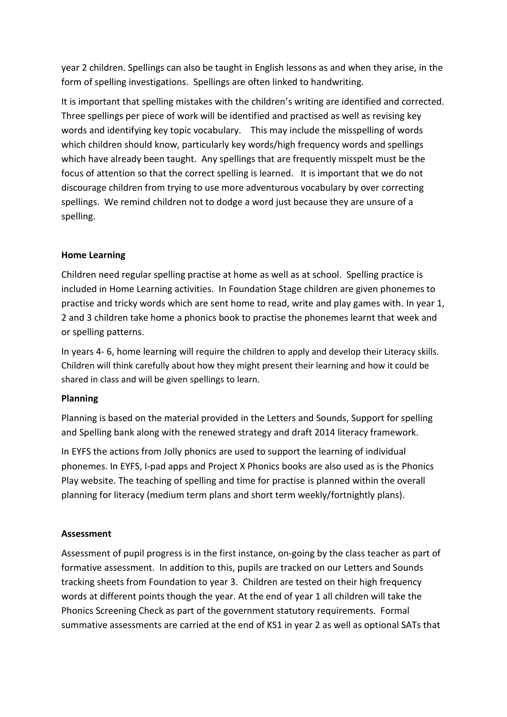year 2 children. Spellings can also be taught in English lessons as and when they arise, in the form of spelling investigations. Spellings are often linked to handwriting.

It is important that spelling mistakes with the children's writing are identified and corrected. Three spellings per piece of work will be identified and practised as well as revising key words and identifying key topic vocabulary. This may include the misspelling of words which children should know, particularly key words/high frequency words and spellings which have already been taught. Any spellings that are frequently misspelt must be the focus of attention so that the correct spelling is learned. It is important that we do not discourage children from trying to use more adventurous vocabulary by over correcting spellings. We remind children not to dodge a word just because they are unsure of a spelling.

### **Home Learning**

Children need regular spelling practise at home as well as at school. Spelling practice is included in Home Learning activities. In Foundation Stage children are given phonemes to practise and tricky words which are sent home to read, write and play games with. In year 1, 2 and 3 children take home a phonics book to practise the phonemes learnt that week and or spelling patterns.

In years 4- 6, home learning will require the children to apply and develop their Literacy skills. Children will think carefully about how they might present their learning and how it could be shared in class and will be given spellings to learn.

#### **Planning**

Planning is based on the material provided in the Letters and Sounds, Support for spelling and Spelling bank along with the renewed strategy and draft 2014 literacy framework.

In EYFS the actions from Jolly phonics are used to support the learning of individual phonemes. In EYFS, I-pad apps and Project X Phonics books are also used as is the Phonics Play website. The teaching of spelling and time for practise is planned within the overall planning for literacy (medium term plans and short term weekly/fortnightly plans).

#### **Assessment**

Assessment of pupil progress is in the first instance, on-going by the class teacher as part of formative assessment. In addition to this, pupils are tracked on our Letters and Sounds tracking sheets from Foundation to year 3. Children are tested on their high frequency words at different points though the year. At the end of year 1 all children will take the Phonics Screening Check as part of the government statutory requirements. Formal summative assessments are carried at the end of KS1 in year 2 as well as optional SATs that